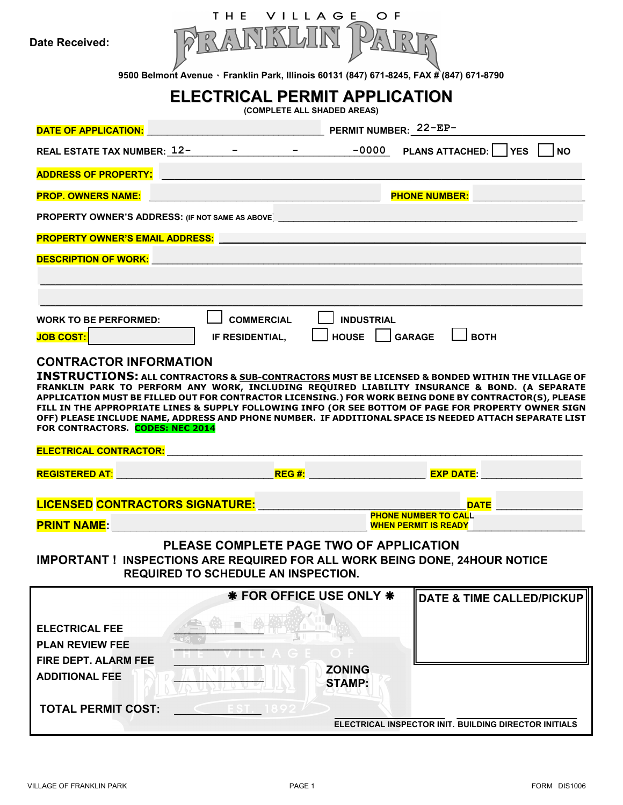**Date Received:** 



**9500 Belmont Avenue ٠ Franklin Park, Illinois 60131 (847) 671-8245, FAX # (847) 671-8790** 

# **ELECTRICAL PERMIT APPLICATION**

**(COMPLETE ALL SHADED AREAS)** 

| <b>DATE OF APPLICATION:</b>                | PERMIT NUMBER: 22-EP-                                                                                                                                                                                          |  |  |  |  |  |  |
|--------------------------------------------|----------------------------------------------------------------------------------------------------------------------------------------------------------------------------------------------------------------|--|--|--|--|--|--|
| REAL ESTATE TAX NUMBER: 12-                | $-0000$<br>PLANS ATTACHED: 1 YES<br><b>NO</b>                                                                                                                                                                  |  |  |  |  |  |  |
| <b>ADDRESS OF PROPERTY:</b>                |                                                                                                                                                                                                                |  |  |  |  |  |  |
| <b>PROP. OWNERS NAME:</b>                  | <b>PHONE NUMBER:</b>                                                                                                                                                                                           |  |  |  |  |  |  |
|                                            | <b>PROPERTY OWNER'S ADDRESS:</b> (IF NOT SAME AS ABOVE) <b>PROPERTY OWNER'S ADDRESS:</b> (IF NOT SAME AS ABOVE)                                                                                                |  |  |  |  |  |  |
| <b>PROPERTY OWNER'S EMAIL ADDRESS:</b>     |                                                                                                                                                                                                                |  |  |  |  |  |  |
| <b>DESCRIPTION OF WORK:</b>                |                                                                                                                                                                                                                |  |  |  |  |  |  |
|                                            |                                                                                                                                                                                                                |  |  |  |  |  |  |
|                                            |                                                                                                                                                                                                                |  |  |  |  |  |  |
| <b>WORK TO BE PERFORMED:</b>               | <b>COMMERCIAL</b><br><b>INDUSTRIAL</b>                                                                                                                                                                         |  |  |  |  |  |  |
| <b>JOB COST:</b>                           | <b>HOUSE</b><br><b>BOTH</b><br><b>GARAGE</b><br>IF RESIDENTIAL,                                                                                                                                                |  |  |  |  |  |  |
| <b>CONTRACTOR INFORMATION</b>              |                                                                                                                                                                                                                |  |  |  |  |  |  |
|                                            | <b>INSTRUCTIONS:</b> ALL CONTRACTORS & SUB-CONTRACTORS MUST BE LICENSED & BONDED WITHIN THE VILLAGE OF                                                                                                         |  |  |  |  |  |  |
|                                            | FRANKLIN PARK TO PERFORM ANY WORK, INCLUDING REQUIRED LIABILITY INSURANCE & BOND. (A SEPARATE                                                                                                                  |  |  |  |  |  |  |
|                                            | APPLICATION MUST BE FILLED OUT FOR CONTRACTOR LICENSING.) FOR WORK BEING DONE BY CONTRACTOR(S), PLEASE                                                                                                         |  |  |  |  |  |  |
|                                            | FILL IN THE APPROPRIATE LINES & SUPPLY FOLLOWING INFO (OR SEE BOTTOM OF PAGE FOR PROPERTY OWNER SIGN<br>OFF) PLEASE INCLUDE NAME, ADDRESS AND PHONE NUMBER. IF ADDITIONAL SPACE IS NEEDED ATTACH SEPARATE LIST |  |  |  |  |  |  |
| FOR CONTRACTORS. CODES: NEC 2014           |                                                                                                                                                                                                                |  |  |  |  |  |  |
|                                            |                                                                                                                                                                                                                |  |  |  |  |  |  |
| <b>ELECTRICAL CONTRACTOR:</b>              |                                                                                                                                                                                                                |  |  |  |  |  |  |
| <b>REGISTERED AT:</b>                      |                                                                                                                                                                                                                |  |  |  |  |  |  |
| <b>LICENSED CONTRACTORS SIGNATURE:</b>     | <b>DATE</b>                                                                                                                                                                                                    |  |  |  |  |  |  |
|                                            | <b>PHONE NUMBER TO CALL</b>                                                                                                                                                                                    |  |  |  |  |  |  |
| <b>PRINT NAME:</b>                         | <b>WHEN PERMIT IS READY</b>                                                                                                                                                                                    |  |  |  |  |  |  |
|                                            | PLEASE COMPLETE PAGE TWO OF APPLICATION                                                                                                                                                                        |  |  |  |  |  |  |
|                                            | <b>IMPORTANT ! INSPECTIONS ARE REQUIRED FOR ALL WORK BEING DONE, 24HOUR NOTICE</b>                                                                                                                             |  |  |  |  |  |  |
| <b>REQUIRED TO SCHEDULE AN INSPECTION.</b> |                                                                                                                                                                                                                |  |  |  |  |  |  |
|                                            | <b>* FOR OFFICE USE ONLY *</b><br><b>DATE &amp; TIME CALLED/PICKUP</b>                                                                                                                                         |  |  |  |  |  |  |
|                                            |                                                                                                                                                                                                                |  |  |  |  |  |  |
| <b>ELECTRICAL FEE</b>                      |                                                                                                                                                                                                                |  |  |  |  |  |  |
| <b>PLAN REVIEW FEE</b>                     |                                                                                                                                                                                                                |  |  |  |  |  |  |
| <b>FIRE DEPT. ALARM FEE</b>                |                                                                                                                                                                                                                |  |  |  |  |  |  |
|                                            | <b>ZONING</b>                                                                                                                                                                                                  |  |  |  |  |  |  |
| <b>ADDITIONAL FEE</b>                      | <b>STAMP:</b>                                                                                                                                                                                                  |  |  |  |  |  |  |
| <b>TOTAL PERMIT COST:</b>                  |                                                                                                                                                                                                                |  |  |  |  |  |  |
|                                            | ELECTRICAL INSPECTOR INIT. BUILDING DIRECTOR INITIALS                                                                                                                                                          |  |  |  |  |  |  |
|                                            |                                                                                                                                                                                                                |  |  |  |  |  |  |